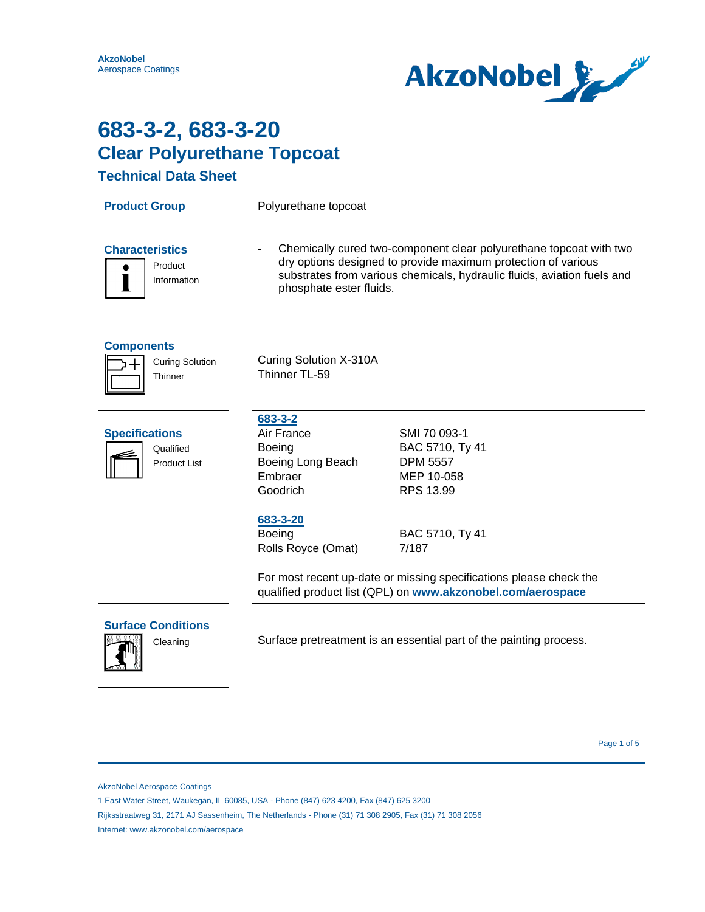

**Technical Data Sheet**

| <b>Product Group</b>                                      | Polyurethane topcoat                                                                                                                                                                                                                      |                                                                               |
|-----------------------------------------------------------|-------------------------------------------------------------------------------------------------------------------------------------------------------------------------------------------------------------------------------------------|-------------------------------------------------------------------------------|
| <b>Characteristics</b><br>Product<br>Information          | Chemically cured two-component clear polyurethane topcoat with two<br>dry options designed to provide maximum protection of various<br>substrates from various chemicals, hydraulic fluids, aviation fuels and<br>phosphate ester fluids. |                                                                               |
| <b>Components</b><br><b>Curing Solution</b><br>Thinner    | Curing Solution X-310A<br>Thinner TL-59                                                                                                                                                                                                   |                                                                               |
| <b>Specifications</b><br>Qualified<br><b>Product List</b> | 683-3-2<br>Air France<br><b>Boeing</b><br>Boeing Long Beach<br>Embraer<br>Goodrich                                                                                                                                                        | SMI 70 093-1<br>BAC 5710, Ty 41<br><b>DPM 5557</b><br>MEP 10-058<br>RPS 13.99 |
|                                                           | 683-3-20<br>Boeing<br>Rolls Royce (Omat)                                                                                                                                                                                                  | BAC 5710, Ty 41<br>7/187                                                      |
|                                                           | For most recent up-date or missing specifications please check the<br>qualified product list (QPL) on www.akzonobel.com/aerospace                                                                                                         |                                                                               |
| <b>Surface Conditions</b><br>Cleaning                     | Surface pretreatment is an essential part of the painting process.                                                                                                                                                                        |                                                                               |
|                                                           |                                                                                                                                                                                                                                           |                                                                               |

Page 1 of 5  $^{\circ}$  Page 1 of 5  $^{\circ}$ 

AkzoNobel Aerospace Coatings

Rijksstraatweg 31, 2171 AJ Sassenheim, The Netherlands - Phone (31) 71 308 2905, Fax (31) 71 308 2056

Internet: www.akzonobel.com/aerospace

<sup>1</sup> East Water Street, Waukegan, IL 60085, USA - Phone (847) 623 4200, Fax (847) 625 3200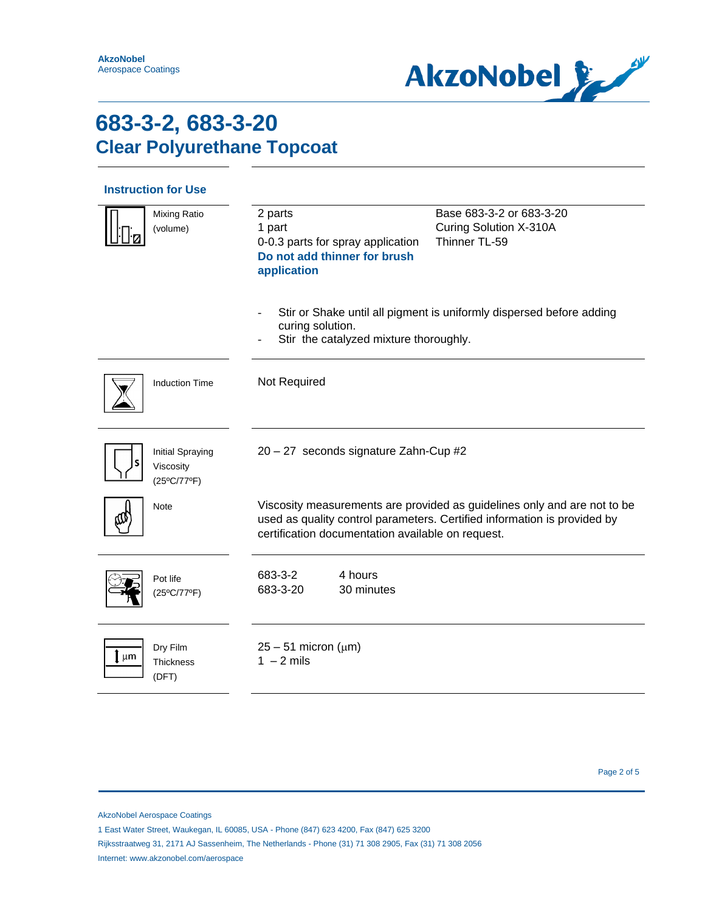

### **Instruction for Use**

|    | <b>Mixing Ratio</b><br>(volume)                     | 2 parts<br>1 part<br>0-0.3 parts for spray application<br>Do not add thinner for brush<br>application                                                                                                     | Base 683-3-2 or 683-3-20<br>Curing Solution X-310A<br>Thinner TL-59  |
|----|-----------------------------------------------------|-----------------------------------------------------------------------------------------------------------------------------------------------------------------------------------------------------------|----------------------------------------------------------------------|
|    |                                                     | curing solution.<br>Stir the catalyzed mixture thoroughly.                                                                                                                                                | Stir or Shake until all pigment is uniformly dispersed before adding |
|    | <b>Induction Time</b>                               | Not Required                                                                                                                                                                                              |                                                                      |
|    | <b>Initial Spraying</b><br>Viscosity<br>(25°C/77°F) | 20 - 27 seconds signature Zahn-Cup #2                                                                                                                                                                     |                                                                      |
|    | Note                                                | Viscosity measurements are provided as guidelines only and are not to be<br>used as quality control parameters. Certified information is provided by<br>certification documentation available on request. |                                                                      |
|    | Pot life<br>(25°C/77°F)                             | 4 hours<br>683-3-2<br>683-3-20<br>30 minutes                                                                                                                                                              |                                                                      |
| μm | Dry Film<br><b>Thickness</b><br>(DFT)               | $25 - 51$ micron ( $\mu$ m)<br>$1 - 2$ mils                                                                                                                                                               |                                                                      |

AkzoNobel Aerospace Coatings

1 East Water Street, Waukegan, IL 60085, USA - Phone (847) 623 4200, Fax (847) 625 3200

Rijksstraatweg 31, 2171 AJ Sassenheim, The Netherlands - Phone (31) 71 308 2905, Fax (31) 71 308 2056 Internet: www.akzonobel.com/aerospace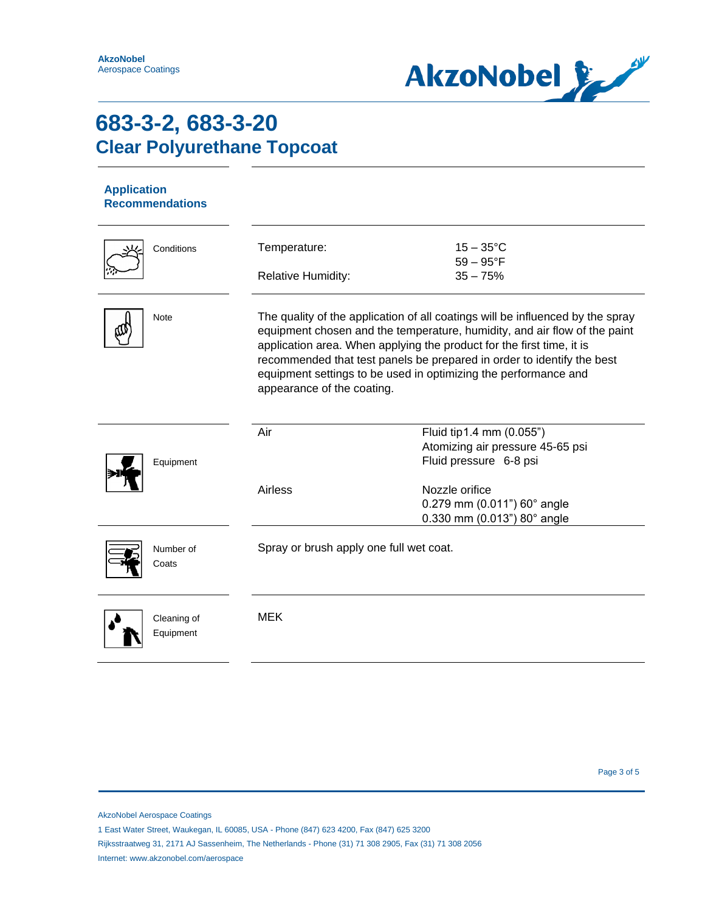

#### **Application Recommendations**

| Conditions               | Temperature:<br><b>Relative Humidity:</b>                                                                                                                                                                                                                                                                                                                                                                       | $15 - 35^{\circ}$ C<br>$59 - 95^{\circ}F$<br>$35 - 75%$                                                  |
|--------------------------|-----------------------------------------------------------------------------------------------------------------------------------------------------------------------------------------------------------------------------------------------------------------------------------------------------------------------------------------------------------------------------------------------------------------|----------------------------------------------------------------------------------------------------------|
| Note                     | The quality of the application of all coatings will be influenced by the spray<br>equipment chosen and the temperature, humidity, and air flow of the paint<br>application area. When applying the product for the first time, it is<br>recommended that test panels be prepared in order to identify the best<br>equipment settings to be used in optimizing the performance and<br>appearance of the coating. |                                                                                                          |
| Equipment                | Air<br>Airless                                                                                                                                                                                                                                                                                                                                                                                                  | Fluid tip1.4 mm (0.055")<br>Atomizing air pressure 45-65 psi<br>Fluid pressure 6-8 psi<br>Nozzle orifice |
|                          |                                                                                                                                                                                                                                                                                                                                                                                                                 | 0.279 mm (0.011") 60° angle<br>$0.330$ mm (0.013") 80 $^{\circ}$ angle                                   |
| Number of<br>Coats       | Spray or brush apply one full wet coat.                                                                                                                                                                                                                                                                                                                                                                         |                                                                                                          |
| Cleaning of<br>Equipment | <b>MEK</b>                                                                                                                                                                                                                                                                                                                                                                                                      |                                                                                                          |

Page 3 of 5

AkzoNobel Aerospace Coatings

1 East Water Street, Waukegan, IL 60085, USA - Phone (847) 623 4200, Fax (847) 625 3200

Rijksstraatweg 31, 2171 AJ Sassenheim, The Netherlands - Phone (31) 71 308 2905, Fax (31) 71 308 2056 Internet: www.akzonobel.com/aerospace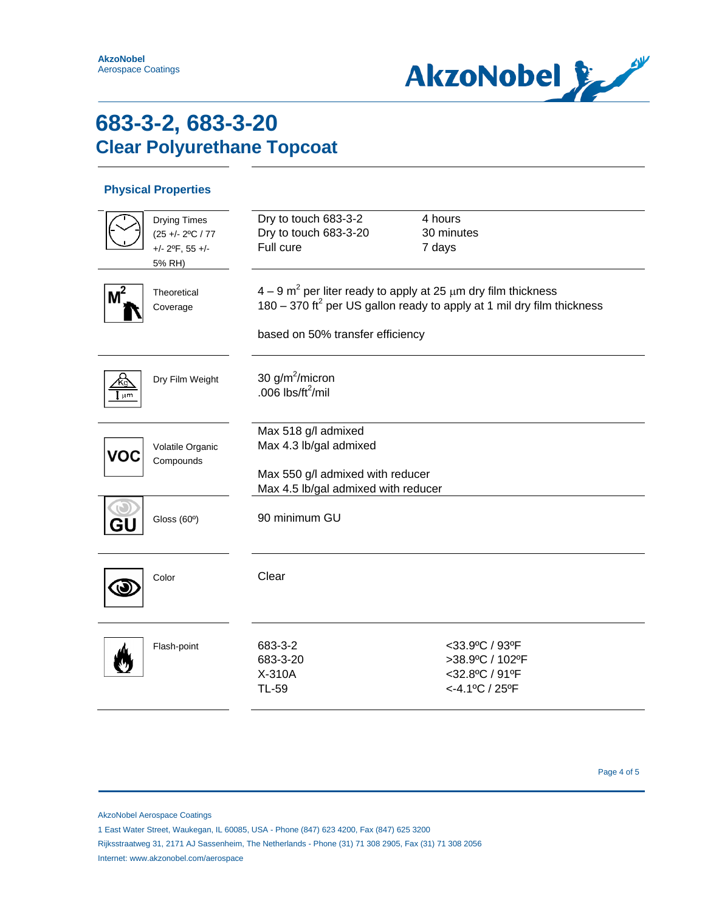

#### **Physical Properties**

|                 | <b>Drying Times</b><br>$(25 + - 2$ °C / 77<br>$+/- 2$ <sup>o</sup> F, 55 $+/-$<br>5% RH) | Dry to touch 683-3-2<br>Dry to touch 683-3-20<br>Full cure                                                                                                                                               | 4 hours<br>30 minutes<br>7 days                                          |
|-----------------|------------------------------------------------------------------------------------------|----------------------------------------------------------------------------------------------------------------------------------------------------------------------------------------------------------|--------------------------------------------------------------------------|
| M <sup>2</sup>  | Theoretical<br>Coverage                                                                  | $4-9$ m <sup>2</sup> per liter ready to apply at 25 $\mu$ m dry film thickness<br>180 – 370 ft <sup>2</sup> per US gallon ready to apply at 1 mil dry film thickness<br>based on 50% transfer efficiency |                                                                          |
| 11 <sub>m</sub> | Dry Film Weight                                                                          | 30 $g/m^2/micron$<br>.006 $\frac{1}{10}$ lbs/ft <sup>2</sup> /mil                                                                                                                                        |                                                                          |
| VOC             | Volatile Organic<br>Compounds                                                            | Max 518 g/l admixed<br>Max 4.3 lb/gal admixed<br>Max 550 g/l admixed with reducer<br>Max 4.5 lb/gal admixed with reducer                                                                                 |                                                                          |
| Gl              | Gloss (60°)                                                                              | 90 minimum GU                                                                                                                                                                                            |                                                                          |
|                 | Color                                                                                    | Clear                                                                                                                                                                                                    |                                                                          |
|                 | Flash-point                                                                              | 683-3-2<br>683-3-20<br>X-310A<br><b>TL-59</b>                                                                                                                                                            | <33.9°C / 93°F<br>>38.9°C / 102°F<br><32.8°C / 91°F<br>$<$ -4.1°C / 25°F |

Page 4 of 5

AkzoNobel Aerospace Coatings

- 1 East Water Street, Waukegan, IL 60085, USA Phone (847) 623 4200, Fax (847) 625 3200
- Rijksstraatweg 31, 2171 AJ Sassenheim, The Netherlands Phone (31) 71 308 2905, Fax (31) 71 308 2056 Internet: www.akzonobel.com/aerospace